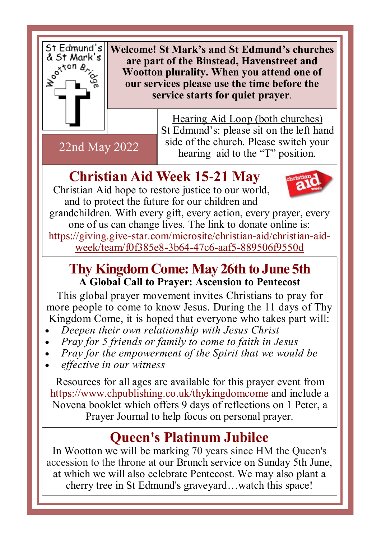

22nd May 2022

**Welcome! St Mark's and St Edmund's churches are part of the Binstead, Havenstreet and Wootton plurality. When you attend one of our services please use the time before the service starts for quiet prayer**.

> Hearing Aid Loop (both churches) St Edmund's: please sit on the left hand side of the church. Please switch your hearing aid to the "T" position.

## **Christian Aid Week 15-21 May**

Christian Aid hope to restore justice to our world, and to protect the future for our children and



grandchildren. With every gift, every action, every prayer, every one of us can change lives. The link to donate online is: [https://giving.give-star.com/microsite/christian-aid/christian-aid](https://nam12.safelinks.protection.outlook.com/?url=https%3A%2F%2Fgiving.give-star.com%2Fmicrosite%2Fchristian-aid%2Fchristian-aid-week%2Fteam%2Ff0f385e8-3b64-47c6-aaf5-889506f9550d&data=05%7C01%7C%7C5df6f031740545db890d08da3666b65d%7C84df9e7fe9f640afb435aaaa)[week/team/f0f385e8-3b64-47c6-aaf5-889506f9550d](https://nam12.safelinks.protection.outlook.com/?url=https%3A%2F%2Fgiving.give-star.com%2Fmicrosite%2Fchristian-aid%2Fchristian-aid-week%2Fteam%2Ff0f385e8-3b64-47c6-aaf5-889506f9550d&data=05%7C01%7C%7C5df6f031740545db890d08da3666b65d%7C84df9e7fe9f640afb435aaaa)

#### **Thy Kingdom Come: May 26th to June 5th A Global Call to Prayer: Ascension to Pentecost**

This global prayer movement invites Christians to pray for more people to come to know Jesus. During the 11 days of Thy Kingdom Come, it is hoped that everyone who takes part will:

- *Deepen their own relationship with Jesus Christ*
- *Pray for 5 friends or family to come to faith in Jesus*
- *Pray for the empowerment of the Spirit that we would be*
- *effective in our witness*

Resources for all ages are available for this prayer event from <https://www.chpublishing.co.uk/thykingdomcome> and include a Novena booklet which offers 9 days of reflections on 1 Peter, a Prayer Journal to help focus on personal prayer.

## **Queen's Platinum Jubilee**

In Wootton we will be marking 70 years since HM the Queen's accession to the throne at our Brunch service on Sunday 5th June, at which we will also celebrate Pentecost. We may also plant a cherry tree in St Edmund's graveyard…watch this space!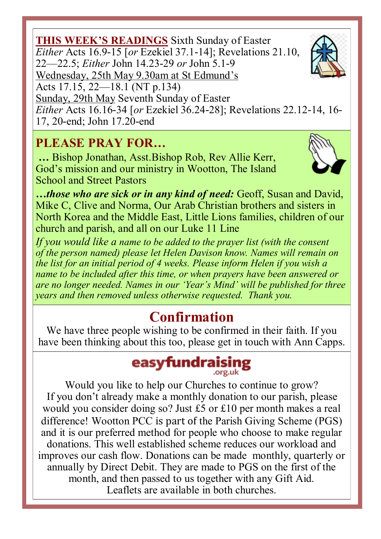**THIS WEEK'S READINGS** Sixth Sunday of Easter *Either* Acts 16.9-15 [*or* Ezekiel 37.1-14]; Revelations 21.10, 22—22.5; *Either* John 14.23-29 *or* John 5.1-9 Wednesday, 25th May 9.30am at St Edmund's Acts 17.15, 22—18.1 (NT p.134) Sunday, 29th May Seventh Sunday of Easter *Either* Acts 16.16-34 [*or* Ezekiel 36.24-28]; Revelations 22.12-14, 16- 17, 20-end; John 17.20-end

#### **PLEASE PRAY FOR…**

**…** Bishop Jonathan, Asst.Bishop Rob, Rev Allie Kerr, God's mission and our ministry in Wootton, The Island School and Street Pastors

*…those who are sick or in any kind of need:* Geoff, Susan and David, Mike C, Clive and Norma, Our Arab Christian brothers and sisters in North Korea and the Middle East, Little Lions families, children of our church and parish, and all on our Luke 11 Line

*If you would like a name to be added to the prayer list (with the consent of the person named) please let Helen Davison know. Names will remain on the list for an initial period of 4 weeks. Please inform Helen if you wish a name to be included after this time, or when prayers have been answered or are no longer needed. Names in our 'Year's Mind' will be published for three years and then removed unless otherwise requested. Thank you.*

## **Confirmation**

We have three people wishing to be confirmed in their faith. If you have been thinking about this too, please get in touch with Ann Capps.

# easyfundraising

Would you like to help our Churches to continue to grow? If you don't already make a monthly donation to our parish, please would you consider doing so? Just £5 or £10 per month makes a real difference! Wootton PCC is part of the Parish Giving Scheme (PGS) and it is our preferred method for people who choose to make regular donations. This well established scheme reduces our workload and improves our cash flow. Donations can be made monthly, quarterly or annually by Direct Debit. They are made to PGS on the first of the month, and then passed to us together with any Gift Aid. Leaflets are available in both churches.





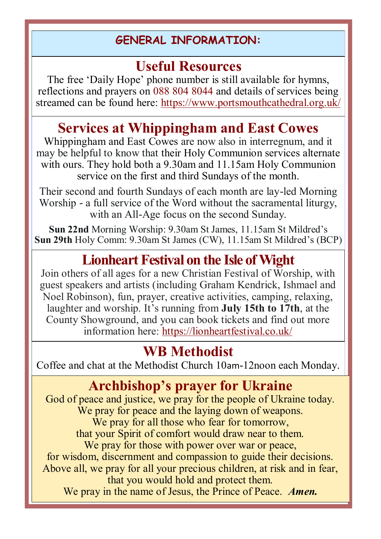#### **GENERAL INFORMATION:**

### **Useful Resources**

The free 'Daily Hope' phone number is still available for hymns, reflections and prayers on 088 804 8044 and details of services being streamed can be found here: https://www.portsmouthcathedral.org.uk/

## **Services at Whippingham and East Cowes**

Whippingham and East Cowes are now also in interregnum, and it may be helpful to know that their Holy Communion services alternate with ours. They hold both a 9.30am and 11.15am Holy Communion service on the first and third Sundays of the month.

Their second and fourth Sundays of each month are lay-led Morning Worship - a full service of the Word without the sacramental liturgy, with an All-Age focus on the second Sunday.

**Sun 22nd** Morning Worship: 9.30am St James, 11.15am St Mildred's **Sun 29th** Holy Comm: 9.30am St James (CW), 11.15am St Mildred's (BCP)

## **Lionheart Festival on the Isle of Wight**

Join others of all ages for a new Christian Festival of Worship, with guest speakers and artists (including Graham Kendrick, Ishmael and Noel Robinson), fun, prayer, creative activities, camping, relaxing, laughter and worship. It's running from **July 15th to 17th**, at the County Showground, and you can book tickets and find out more information here: https://lionheartfestival.co.uk/

## **WB Methodist**

Coffee and chat at the Methodist Church 10am-12noon each Monday.

## **Archbishop's prayer for Ukraine**

God of peace and justice, we pray for the people of Ukraine today. We pray for peace and the laying down of weapons. We pray for all those who fear for tomorrow, that your Spirit of comfort would draw near to them. We pray for those with power over war or peace, for wisdom, discernment and compassion to guide their decisions. Above all, we pray for all your precious children, at risk and in fear, that you would hold and protect them. We pray in the name of Jesus, the Prince of Peace. *Amen.*